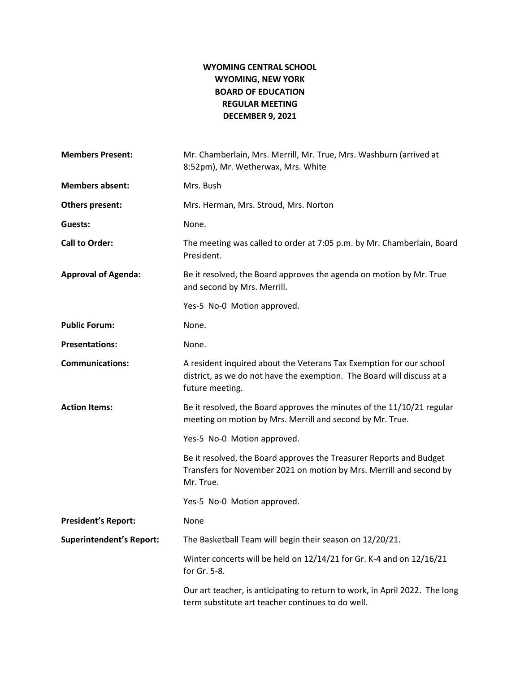## **WYOMING CENTRAL SCHOOL WYOMING, NEW YORK BOARD OF EDUCATION REGULAR MEETING DECEMBER 9, 2021**

| <b>Members Present:</b>         | Mr. Chamberlain, Mrs. Merrill, Mr. True, Mrs. Washburn (arrived at<br>8:52pm), Mr. Wetherwax, Mrs. White                                                         |
|---------------------------------|------------------------------------------------------------------------------------------------------------------------------------------------------------------|
| <b>Members absent:</b>          | Mrs. Bush                                                                                                                                                        |
| Others present:                 | Mrs. Herman, Mrs. Stroud, Mrs. Norton                                                                                                                            |
| Guests:                         | None.                                                                                                                                                            |
| <b>Call to Order:</b>           | The meeting was called to order at 7:05 p.m. by Mr. Chamberlain, Board<br>President.                                                                             |
| <b>Approval of Agenda:</b>      | Be it resolved, the Board approves the agenda on motion by Mr. True<br>and second by Mrs. Merrill.                                                               |
|                                 | Yes-5 No-0 Motion approved.                                                                                                                                      |
| <b>Public Forum:</b>            | None.                                                                                                                                                            |
| <b>Presentations:</b>           | None.                                                                                                                                                            |
| <b>Communications:</b>          | A resident inquired about the Veterans Tax Exemption for our school<br>district, as we do not have the exemption. The Board will discuss at a<br>future meeting. |
| <b>Action Items:</b>            | Be it resolved, the Board approves the minutes of the 11/10/21 regular<br>meeting on motion by Mrs. Merrill and second by Mr. True.                              |
|                                 | Yes-5 No-0 Motion approved.                                                                                                                                      |
|                                 | Be it resolved, the Board approves the Treasurer Reports and Budget<br>Transfers for November 2021 on motion by Mrs. Merrill and second by<br>Mr. True.          |
|                                 | Yes-5 No-0 Motion approved.                                                                                                                                      |
| <b>President's Report:</b>      | None                                                                                                                                                             |
| <b>Superintendent's Report:</b> | The Basketball Team will begin their season on 12/20/21.                                                                                                         |
|                                 | Winter concerts will be held on 12/14/21 for Gr. K-4 and on 12/16/21<br>for Gr. 5-8.                                                                             |
|                                 | Our art teacher, is anticipating to return to work, in April 2022. The long<br>term substitute art teacher continues to do well.                                 |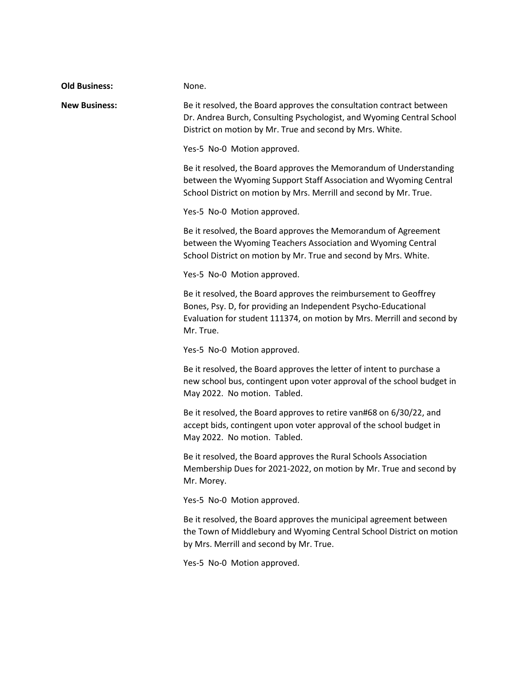| <b>Old Business:</b> | None.                                                                                                                                                                                                                     |
|----------------------|---------------------------------------------------------------------------------------------------------------------------------------------------------------------------------------------------------------------------|
| <b>New Business:</b> | Be it resolved, the Board approves the consultation contract between<br>Dr. Andrea Burch, Consulting Psychologist, and Wyoming Central School<br>District on motion by Mr. True and second by Mrs. White.                 |
|                      | Yes-5 No-0 Motion approved.                                                                                                                                                                                               |
|                      | Be it resolved, the Board approves the Memorandum of Understanding<br>between the Wyoming Support Staff Association and Wyoming Central<br>School District on motion by Mrs. Merrill and second by Mr. True.              |
|                      | Yes-5 No-0 Motion approved.                                                                                                                                                                                               |
|                      | Be it resolved, the Board approves the Memorandum of Agreement<br>between the Wyoming Teachers Association and Wyoming Central<br>School District on motion by Mr. True and second by Mrs. White.                         |
|                      | Yes-5 No-0 Motion approved.                                                                                                                                                                                               |
|                      | Be it resolved, the Board approves the reimbursement to Geoffrey<br>Bones, Psy. D, for providing an Independent Psycho-Educational<br>Evaluation for student 111374, on motion by Mrs. Merrill and second by<br>Mr. True. |
|                      | Yes-5 No-0 Motion approved.                                                                                                                                                                                               |
|                      | Be it resolved, the Board approves the letter of intent to purchase a<br>new school bus, contingent upon voter approval of the school budget in<br>May 2022. No motion. Tabled.                                           |
|                      | Be it resolved, the Board approves to retire van#68 on 6/30/22, and<br>accept bids, contingent upon voter approval of the school budget in<br>May 2022. No motion. Tabled.                                                |
|                      | Be it resolved, the Board approves the Rural Schools Association<br>Membership Dues for 2021-2022, on motion by Mr. True and second by<br>Mr. Morey.                                                                      |
|                      | Yes-5 No-0 Motion approved.                                                                                                                                                                                               |
|                      | Be it resolved, the Board approves the municipal agreement between<br>the Town of Middlebury and Wyoming Central School District on motion<br>by Mrs. Merrill and second by Mr. True.                                     |
|                      | Yes-5 No-0 Motion approved.                                                                                                                                                                                               |
|                      |                                                                                                                                                                                                                           |